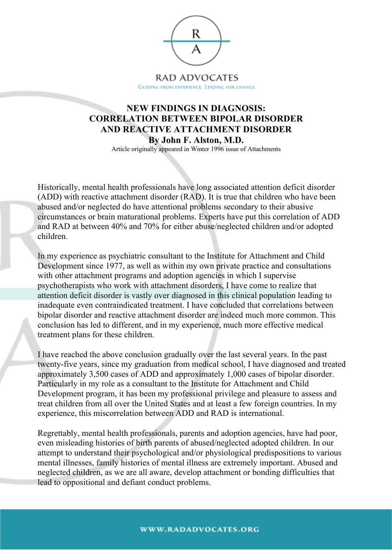

## **NEW FINDINGS IN DIAGNOSIS: CORRELATION BETWEEN BIPOLAR DISORDER AND REACTIVE ATTACHMENT DISORDER By John F. Alston, M.D.**

Article originally appeared in Winter 1996 issue of Attachments

Historically, mental health professionals have long associated attention deficit disorder (ADD) with reactive attachment disorder (RAD). It is true that children who have been abused and/or neglected do have attentional problems secondary to their abusive circumstances or brain maturational problems. Experts have put this correlation of ADD and RAD at between 40% and 70% for either abuse/neglected children and/or adopted children.

In my experience as psychiatric consultant to the Institute for Attachment and Child Development since 1977, as well as within my own private practice and consultations with other attachment programs and adoption agencies in which I supervise psychotherapists who work with attachment disorders, I have come to realize that attention deficit disorder is vastly over diagnosed in this clinical population leading to inadequate even contraindicated treatment. I have concluded that correlations between bipolar disorder and reactive attachment disorder are indeed much more common. This conclusion has led to different, and in my experience, much more effective medical treatment plans for these children.

I have reached the above conclusion gradually over the last several years. In the past twenty-five years, since my graduation from medical school, I have diagnosed and treated approximately 3,500 cases of ADD and approximately 1,000 cases of bipolar disorder. Particularly in my role as a consultant to the Institute for Attachment and Child Development program, it has been my professional privilege and pleasure to assess and treat children from all over the United States and at least a few foreign countries. In my experience, this miscorrelation between ADD and RAD is international.

Regrettably, mental health professionals, parents and adoption agencies, have had poor, even misleading histories of birth parents of abused/neglected adopted children. In our attempt to understand their psychological and/or physiological predispositions to various mental illnesses, family histories of mental illness are extremely important. Abused and neglected children, as we are all aware, develop attachment or bonding difficulties that lead to oppositional and defiant conduct problems.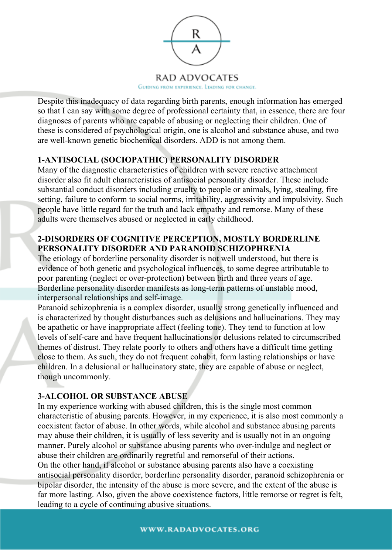

Despite this inadequacy of data regarding birth parents, enough information has emerged so that I can say with some degree of professional certainty that, in essence, there are four diagnoses of parents who are capable of abusing or neglecting their children. One of these is considered of psychological origin, one is alcohol and substance abuse, and two are well-known genetic biochemical disorders. ADD is not among them.

# **1-ANTISOCIAL (SOCIOPATHIC) PERSONALITY DISORDER**

Many of the diagnostic characteristics of children with severe reactive attachment disorder also fit adult characteristics of antisocial personality disorder. These include substantial conduct disorders including cruelty to people or animals, lying, stealing, fire setting, failure to conform to social norms, irritability, aggressivity and impulsivity. Such people have little regard for the truth and lack empathy and remorse. Many of these adults were themselves abused or neglected in early childhood.

#### **2-DISORDERS OF COGNITIVE PERCEPTION, MOSTLY BORDERLINE PERSONALITY DISORDER AND PARANOID SCHIZOPHRENIA**

The etiology of borderline personality disorder is not well understood, but there is evidence of both genetic and psychological influences, to some degree attributable to poor parenting (neglect or over-protection) between birth and three years of age. Borderline personality disorder manifests as long-term patterns of unstable mood, interpersonal relationships and self-image.

Paranoid schizophrenia is a complex disorder, usually strong genetically influenced and is characterized by thought disturbances such as delusions and hallucinations. They may be apathetic or have inappropriate affect (feeling tone). They tend to function at low levels of self-care and have frequent hallucinations or delusions related to circumscribed themes of distrust. They relate poorly to others and others have a difficult time getting close to them. As such, they do not frequent cohabit, form lasting relationships or have children. In a delusional or hallucinatory state, they are capable of abuse or neglect, though uncommonly.

## **3-ALCOHOL OR SUBSTANCE ABUSE**

In my experience working with abused children, this is the single most common characteristic of abusing parents. However, in my experience, it is also most commonly a coexistent factor of abuse. In other words, while alcohol and substance abusing parents may abuse their children, it is usually of less severity and is usually not in an ongoing manner. Purely alcohol or substance abusing parents who over-indulge and neglect or abuse their children are ordinarily regretful and remorseful of their actions.

On the other hand, if alcohol or substance abusing parents also have a coexisting antisocial personality disorder, borderline personality disorder, paranoid schizophrenia or bipolar disorder, the intensity of the abuse is more severe, and the extent of the abuse is far more lasting. Also, given the above coexistence factors, little remorse or regret is felt, leading to a cycle of continuing abusive situations.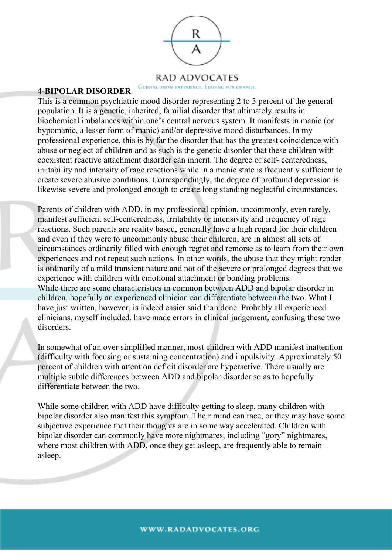

### RAD ADVOCATES

#### GUIDING FROM EXPERIENCE. LEADING FOR CHANGE.

#### **4-BIPOLAR DISORDER**

This is a common psychiatric mood disorder representing 2 to 3 percent of the general population. It is a genetic, inherited, familial disorder that ultimately results in biochemical imbalances within one's central nervous system. It manifests in manic (or hypomanic, a lesser form of manic) and/or depressive mood disturbances. In my professional experience, this is by far the disorder that has the greatest coincidence with abuse or neglect of children and as such is the genetic disorder that these children with coexistent reactive attachment disorder can inherit. The degree of self- centeredness, irritability and intensity of rage reactions while in a manic state is frequently sufficient to create severe abusive conditions. Correspondingly, the degree of profound depression is likewise severe and prolonged enough to create long standing neglectful circumstances.

Parents of children with ADD, in my professional opinion, uncommonly, even rarely, manifest sufficient self-centeredness, irritability or intensivity and frequency of rage reactions. Such parents are reality based, generally have a high regard for their children and even if they were to uncommonly abuse their children, are in almost all sets of circumstances ordinarily filled with enough regret and remorse as to learn from their own experiences and not repeat such actions. In other words, the abuse that they might render is ordinarily of a mild transient nature and not of the severe or prolonged degrees that we experience with children with emotional attachment or bonding problems. While there are some characteristics in common between ADD and bipolar disorder in children, hopefully an experienced clinician can differentiate between the two. What I have just written, however, is indeed easier said than done. Probably all experienced clinicians, myself included, have made errors in clinical judgement, confusing these two disorders.

In somewhat of an over simplified manner, most children with ADD manifest inattention (difficulty with focusing or sustaining concentration) and impulsivity. Approximately 50 percent of children with attention deficit disorder are hyperactive. There usually are multiple subtle differences between ADD and bipolar disorder so as to hopefully differentiate between the two.

While some children with ADD have difficulty getting to sleep, many children with bipolar disorder also manifest this symptom. Their mind can race, or they may have some subjective experience that their thoughts are in some way accelerated. Children with bipolar disorder can commonly have more nightmares, including "gory" nightmares, where most children with ADD, once they get asleep, are frequently able to remain asleep.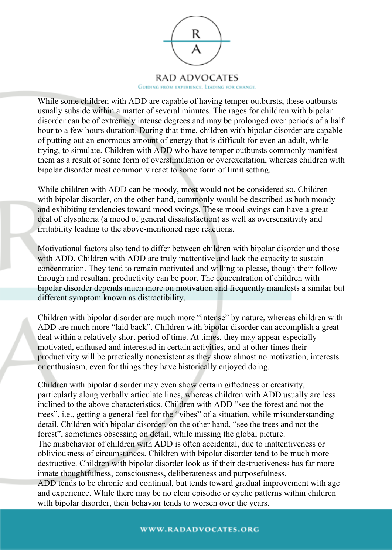

While some children with ADD are capable of having temper outbursts, these outbursts usually subside within a matter of several minutes. The rages for children with bipolar disorder can be of extremely intense degrees and may be prolonged over periods of a half hour to a few hours duration. During that time, children with bipolar disorder are capable of putting out an enormous amount of energy that is difficult for even an adult, while trying, to simulate. Children with ADD who have temper outbursts commonly manifest them as a result of some form of overstimulation or overexcitation, whereas children with bipolar disorder most commonly react to some form of limit setting.

While children with ADD can be moody, most would not be considered so. Children with bipolar disorder, on the other hand, commonly would be described as both moody and exhibiting tendencies toward mood swings. These mood swings can have a great deal of clysphoria (a mood of general dissatisfaction) as well as oversensitivity and irritability leading to the above-mentioned rage reactions.

Motivational factors also tend to differ between children with bipolar disorder and those with ADD. Children with ADD are truly inattentive and lack the capacity to sustain concentration. They tend to remain motivated and willing to please, though their follow through and resultant productivity can be poor. The concentration of children with bipolar disorder depends much more on motivation and frequently manifests a similar but different symptom known as distractibility.

Children with bipolar disorder are much more "intense" by nature, whereas children with ADD are much more "laid back". Children with bipolar disorder can accomplish a great deal within a relatively short period of time. At times, they may appear especially motivated, enthused and interested in certain activities, and at other times their productivity will be practically nonexistent as they show almost no motivation, interests or enthusiasm, even for things they have historically enjoyed doing.

Children with bipolar disorder may even show certain giftedness or creativity, particularly along verbally articulate lines, whereas children with ADD usually are less inclined to the above characteristics. Children with ADD "see the forest and not the trees", i.e., getting a general feel for the "vibes" of a situation, while misunderstanding detail. Children with bipolar disorder, on the other hand, "see the trees and not the forest", sometimes obsessing on detail, while missing the global picture.

The misbehavior of children with ADD is often accidental, due to inattentiveness or obliviousness of circumstances. Children with bipolar disorder tend to be much more destructive. Children with bipolar disorder look as if their destructiveness has far more innate thoughtfulness, consciousness, deliberateness and purposefulness.

ADD tends to be chronic and continual, but tends toward gradual improvement with age and experience. While there may be no clear episodic or cyclic patterns within children with bipolar disorder, their behavior tends to worsen over the years.